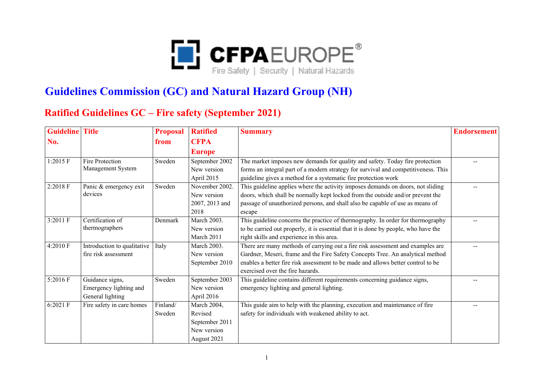

## **Guidelines Commission (GC) and Natural Hazard Group (NH)**

## **Ratified Guidelines GC – Fire safety (September 2021)**

| <b>Guideline</b> Title |                             | <b>Proposal</b> | <b>Ratified</b> | <b>Summary</b>                                                                      | <b>Endorsement</b> |
|------------------------|-----------------------------|-----------------|-----------------|-------------------------------------------------------------------------------------|--------------------|
| No.                    |                             | from            | <b>CFPA</b>     |                                                                                     |                    |
|                        |                             |                 | <b>Europe</b>   |                                                                                     |                    |
| 1:2015 F               | <b>Fire Protection</b>      | Sweden          | September 2002  | The market imposes new demands for quality and safety. Today fire protection        |                    |
|                        | Management System           |                 | New version     | forms an integral part of a modern strategy for survival and competitiveness. This  |                    |
|                        |                             |                 | April 2015      | guideline gives a method for a systematic fire protection work                      |                    |
| 2:2018 F               | Panic & emergency exit      | Sweden          | November 2002.  | This guideline applies where the activity imposes demands on doors, not sliding     |                    |
|                        | devices                     |                 | New version     | doors, which shall be normally kept locked from the outside and/or prevent the      |                    |
|                        |                             |                 | 2007, 2013 and  | passage of unauthorized persons, and shall also be capable of use as means of       |                    |
|                        |                             |                 | 2018            | escape                                                                              |                    |
| 3:2011 F               | Certification of            | Denmark         | March 2003.     | This guideline concerns the practice of thermography. In order for thermography     |                    |
|                        | thermographers              |                 | New version     | to be carried out properly, it is essential that it is done by people, who have the |                    |
|                        |                             |                 | March 2011      | right skills and experience in this area.                                           |                    |
| 4:2010 F               | Introduction to qualitative | Italy           | March 2003.     | There are many methods of carrying out a fire risk assessment and examples are      |                    |
|                        | fire risk assessment        |                 | New version     | Gardner, Meseri, frame and the Fire Safety Concepts Tree. An analytical method      |                    |
|                        |                             |                 | September 2010  | enables a better fire risk assessment to be made and allows better control to be    |                    |
|                        |                             |                 |                 | exercised over the fire hazards.                                                    |                    |
| 5:2016 F               | Guidance signs,             | Sweden          | September 2003  | This guideline contains different requirements concerning guidance signs,           |                    |
|                        | Emergency lighting and      |                 | New version     | emergency lighting and general lighting.                                            |                    |
|                        | General lighting            |                 | April 2016      |                                                                                     |                    |
| 6:2021 F               | Fire safety in care homes   | Finland/        | March 2004,     | This guide aim to help with the planning, execution and maintenance of fire         |                    |
|                        |                             | Sweden          | Revised         | safety for individuals with weakened ability to act.                                |                    |
|                        |                             |                 | September 2011  |                                                                                     |                    |
|                        |                             |                 | New version     |                                                                                     |                    |
|                        |                             |                 | August 2021     |                                                                                     |                    |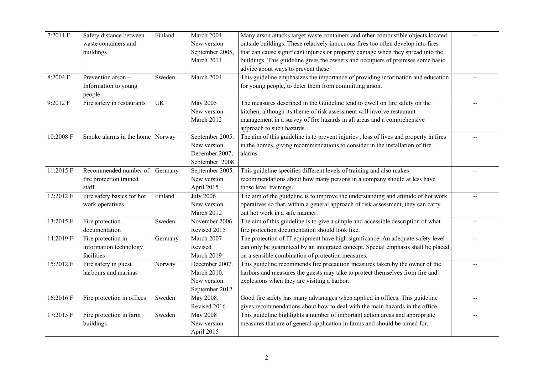| 7:2011 F  | Safety distance between         | Finland   | March 2004.      | Many arson attacks target waste containers and other combustible objects located      |  |
|-----------|---------------------------------|-----------|------------------|---------------------------------------------------------------------------------------|--|
|           | waste containers and            |           | New version      | outside buildings. These relatively innocuous fires too often develop into fires      |  |
|           | buildings                       |           | September 2005,  | that can cause significant injuries or property damage when they spread into the      |  |
|           |                                 |           | March 2011       | buildings. This guideline gives the owners and occupiers of premises some basic       |  |
|           |                                 |           |                  | advice about ways to prevent these.                                                   |  |
| 8:2004 F  | Prevention arson-               | Sweden    | March 2004       | This guideline emphasizes the importance of providing information and education       |  |
|           | Information to young            |           |                  | for young people, to deter them from committing arson.                                |  |
|           | people                          |           |                  |                                                                                       |  |
| 9:2012 F  | Fire safety in restaurants      | <b>UK</b> | <b>May 2005</b>  | The measures described in the Guideline tend to dwell on fire safety on the           |  |
|           |                                 |           | New version      | kitchen, although its theme of risk assessment will involve restaurant                |  |
|           |                                 |           | March 2012       | management in a survey of fire hazards in all areas and a comprehensive               |  |
|           |                                 |           |                  | approach to such hazards.                                                             |  |
| 10:2008 F | Smoke alarms in the home Norway |           | September 2005.  | The aim of this guideline is to prevent injuries, loss of lives and property in fires |  |
|           |                                 |           | New version      | in the homes, giving recommendations to consider in the installation of fire          |  |
|           |                                 |           | December 2007,   | alarms.                                                                               |  |
|           |                                 |           | September. 2008  |                                                                                       |  |
| 11:2015 F | Recommended number of           | Germany   | September 2005.  | This guideline specifies different levels of training and also makes                  |  |
|           | fire protection trained         |           | New version      | recommendations about how many persons in a company should at less have               |  |
|           | staff                           |           | April 2015       | those level trainings.                                                                |  |
| 12:2012 F | Fire safety basics for hot      | Finland   | <b>July 2006</b> | The aim of the guideline is to improve the understanding and attitude of hot work     |  |
|           | work operatives                 |           | New version      | operatives so that, within a general approach of risk assessment, they can carry      |  |
|           |                                 |           | March 2012       | out hot work in a safe manner.                                                        |  |
| 13:2015 F | Fire protection                 | Sweden    | November 2006    | The aim of this guideline is to give a simple and accessible description of what      |  |
|           | documentation                   |           | Revised 2015     | fire protection documentation should look like.                                       |  |
| 14:2019 F | Fire protection in              | Germany   | March 2007       | The protection of IT equipment have high significance. An adequate safety level       |  |
|           | information technology          |           | Revised          | can only be guaranteed by an integrated concept. Special emphasis shall be placed     |  |
|           | facilities                      |           | March 2019       | on a sensible combination of protection measures.                                     |  |
| 15:2012 F | Fire safety in guest            | Norway    | December 2007.   | This guideline recommends fire precaution measures taken by the owner of the          |  |
|           | harbours and marinas            |           | March 2010.      | harbors and measures the guests may take to protect themselves from fire and          |  |
|           |                                 |           | New version      | explosions when they are visiting a harbor.                                           |  |
|           |                                 |           | September 2012   |                                                                                       |  |
| 16:2016 F | Fire protection in offices      | Sweden    | May 2008.        | Good fire safety has many advantages when applied in offices. This guideline          |  |
|           |                                 |           | Revised 2016     | gives recommendations about how to deal with the main hazards in the office.          |  |
| 17:2015 F | Fire protection in farm         | Sweden    | <b>May 2008</b>  | This guideline highlights a number of important action areas and appropriate          |  |
|           | buildings                       |           | New version      | measures that are of general application in farms and should be aimed for.            |  |
|           |                                 |           | April 2015       |                                                                                       |  |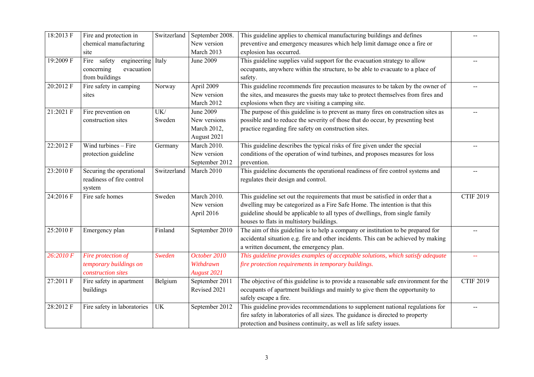| 18:2013 F | Fire and protection in           | Switzerland | September 2008.    | This guideline applies to chemical manufacturing buildings and defines              |                  |
|-----------|----------------------------------|-------------|--------------------|-------------------------------------------------------------------------------------|------------------|
|           | chemical manufacturing           |             | New version        | preventive and emergency measures which help limit damage once a fire or            |                  |
|           | site                             |             | March 2013         | explosion has occurred.                                                             |                  |
| 19:2009 F | Fire safety<br>engineering Italy |             | June 2009          | This guideline supplies valid support for the evacuation strategy to allow          |                  |
|           | concerning<br>evacuation         |             |                    | occupants, anywhere within the structure, to be able to evacuate to a place of      |                  |
|           | from buildings                   |             |                    | safety.                                                                             |                  |
| 20:2012 F | Fire safety in camping           | Norway      | April 2009         | This guideline recommends fire precaution measures to be taken by the owner of      |                  |
|           | sites                            |             | New version        | the sites, and measures the guests may take to protect themselves from fires and    |                  |
|           |                                  |             | March 2012         | explosions when they are visiting a camping site.                                   |                  |
| 21:2021 F | Fire prevention on               | UK/         | June 2009          | The purpose of this guideline is to prevent as many fires on construction sites as  |                  |
|           | construction sites               | Sweden      | New versions       | possible and to reduce the severity of those that do occur, by presenting best      |                  |
|           |                                  |             | March 2012,        | practice regarding fire safety on construction sites.                               |                  |
|           |                                  |             | August 2021        |                                                                                     |                  |
| 22:2012 F | Wind turbines - Fire             | Germany     | March 2010.        | This guideline describes the typical risks of fire given under the special          |                  |
|           | protection guideline             |             | New version        | conditions of the operation of wind turbines, and proposes measures for loss        |                  |
|           |                                  |             | September 2012     | prevention.                                                                         |                  |
| 23:2010 F | Securing the operational         | Switzerland | March 2010         | This guideline documents the operational readiness of fire control systems and      |                  |
|           | readiness of fire control        |             |                    | regulates their design and control.                                                 |                  |
|           | system                           |             |                    |                                                                                     |                  |
| 24:2016 F | Fire safe homes                  | Sweden      | March 2010.        | This guideline set out the requirements that must be satisfied in order that a      | <b>CTIF 2019</b> |
|           |                                  |             | New version        | dwelling may be categorized as a Fire Safe Home. The intention is that this         |                  |
|           |                                  |             | April 2016         | guideline should be applicable to all types of dwellings, from single family        |                  |
|           |                                  |             |                    | houses to flats in multistory buildings.                                            |                  |
| 25:2010 F | Emergency plan                   | Finland     | September 2010     | The aim of this guideline is to help a company or institution to be prepared for    |                  |
|           |                                  |             |                    | accidental situation e.g. fire and other incidents. This can be achieved by making  |                  |
|           |                                  |             |                    | a written document, the emergency plan.                                             |                  |
| 26:2010 F | Fire protection of               | Sweden      | October 2010       | This guideline provides examples of acceptable solutions, which satisfy adequate    |                  |
|           | temporary buildings on           |             | Withdrawn          | fire protection requirements in temporary buildings.                                |                  |
|           | construction sites               |             | <b>August 2021</b> |                                                                                     |                  |
| 27:2011 F | Fire safety in apartment         | Belgium     | September 2011     | The objective of this guideline is to provide a reasonable safe environment for the | <b>CTIF 2019</b> |
|           | buildings                        |             | Revised 2021       | occupants of apartment buildings and mainly to give them the opportunity to         |                  |
|           |                                  |             |                    | safely escape a fire.                                                               |                  |
| 28:2012 F | Fire safety in laboratories      | UK          | September 2012     | This guideline provides recommendations to supplement national regulations for      | $- -$            |
|           |                                  |             |                    | fire safety in laboratories of all sizes. The guidance is directed to property      |                  |
|           |                                  |             |                    | protection and business continuity, as well as life safety issues.                  |                  |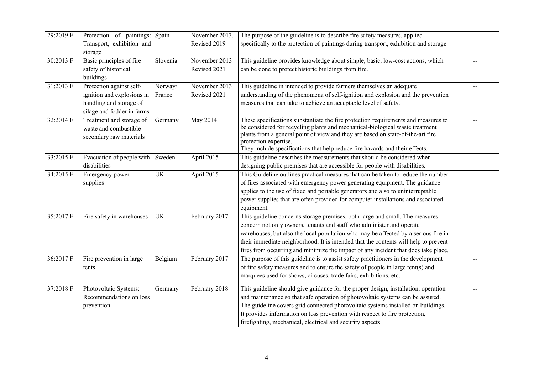| 29:2019 F | Protection of paintings: Spain                                                                                  |                   | November 2013.                | The purpose of the guideline is to describe fire safety measures, applied                                                                                                                                                                                                                                                                                                                                                |  |
|-----------|-----------------------------------------------------------------------------------------------------------------|-------------------|-------------------------------|--------------------------------------------------------------------------------------------------------------------------------------------------------------------------------------------------------------------------------------------------------------------------------------------------------------------------------------------------------------------------------------------------------------------------|--|
|           | Transport, exhibition and<br>storage                                                                            |                   | Revised 2019                  | specifically to the protection of paintings during transport, exhibition and storage.                                                                                                                                                                                                                                                                                                                                    |  |
| 30:2013 F | Basic principles of fire<br>safety of historical<br>buildings                                                   | Slovenia          | November 2013<br>Revised 2021 | This guideline provides knowledge about simple, basic, low-cost actions, which<br>can be done to protect historic buildings from fire.                                                                                                                                                                                                                                                                                   |  |
| 31:2013 F | Protection against self-<br>ignition and explosions in<br>handling and storage of<br>silage and fodder in farms | Norway/<br>France | November 2013<br>Revised 2021 | This guideline in intended to provide farmers themselves an adequate<br>understanding of the phenomena of self-ignition and explosion and the prevention<br>measures that can take to achieve an acceptable level of safety.                                                                                                                                                                                             |  |
| 32:2014 F | Treatment and storage of<br>waste and combustible<br>secondary raw materials                                    | Germany           | May 2014                      | These specifications substantiate the fire protection requirements and measures to<br>be considered for recycling plants and mechanical-biological waste treatment<br>plants from a general point of view and they are based on state-of-the-art fire<br>protection expertise.<br>They include specifications that help reduce fire hazards and their effects.                                                           |  |
| 33:2015 F | Evacuation of people with Sweden<br>disabilities                                                                |                   | April 2015                    | This guideline describes the measurements that should be considered when<br>designing public premises that are accessible for people with disabilities.                                                                                                                                                                                                                                                                  |  |
| 34:2015 F | Emergency power<br>supplies                                                                                     | <b>UK</b>         | April 2015                    | This Guideline outlines practical measures that can be taken to reduce the number<br>of fires associated with emergency power generating equipment. The guidance<br>applies to the use of fixed and portable generators and also to uninterruptable<br>power supplies that are often provided for computer installations and associated<br>equipment.                                                                    |  |
| 35:2017 F | Fire safety in warehouses                                                                                       | <b>UK</b>         | February 2017                 | This guideline concerns storage premises, both large and small. The measures<br>concern not only owners, tenants and staff who administer and operate<br>warehouses, but also the local population who may be affected by a serious fire in<br>their immediate neighborhood. It is intended that the contents will help to prevent<br>fires from occurring and minimize the impact of any incident that does take place. |  |
| 36:2017 F | Fire prevention in large<br>tents                                                                               | Belgium           | February 2017                 | The purpose of this guideline is to assist safety practitioners in the development<br>of fire safety measures and to ensure the safety of people in large tent(s) and<br>marquees used for shows, circuses, trade fairs, exhibitions, etc.                                                                                                                                                                               |  |
| 37:2018 F | Photovoltaic Systems:<br>Recommendations on loss<br>prevention                                                  | Germany           | February 2018                 | This guideline should give guidance for the proper design, installation, operation<br>and maintenance so that safe operation of photovoltaic systems can be assured.<br>The guideline covers grid connected photovoltaic systems installed on buildings.<br>It provides information on loss prevention with respect to fire protection,<br>firefighting, mechanical, electrical and security aspects                     |  |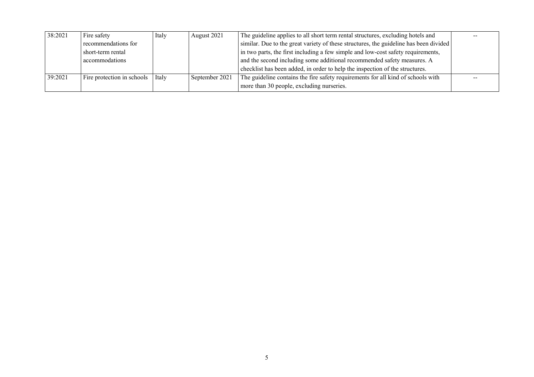| 38:2021 | Fire safety                | Italy | August 2021    | The guideline applies to all short term rental structures, excluding hotels and       |  |
|---------|----------------------------|-------|----------------|---------------------------------------------------------------------------------------|--|
|         | recommendations for        |       |                | similar. Due to the great variety of these structures, the guideline has been divided |  |
|         | short-term rental          |       |                | in two parts, the first including a few simple and low-cost safety requirements,      |  |
|         | accommodations             |       |                | and the second including some additional recommended safety measures. A               |  |
|         |                            |       |                | checklist has been added, in order to help the inspection of the structures.          |  |
| 39:2021 | Fire protection in schools | Italy | September 2021 | The guideline contains the fire safety requirements for all kind of schools with      |  |
|         |                            |       |                | more than 30 people, excluding nurseries.                                             |  |